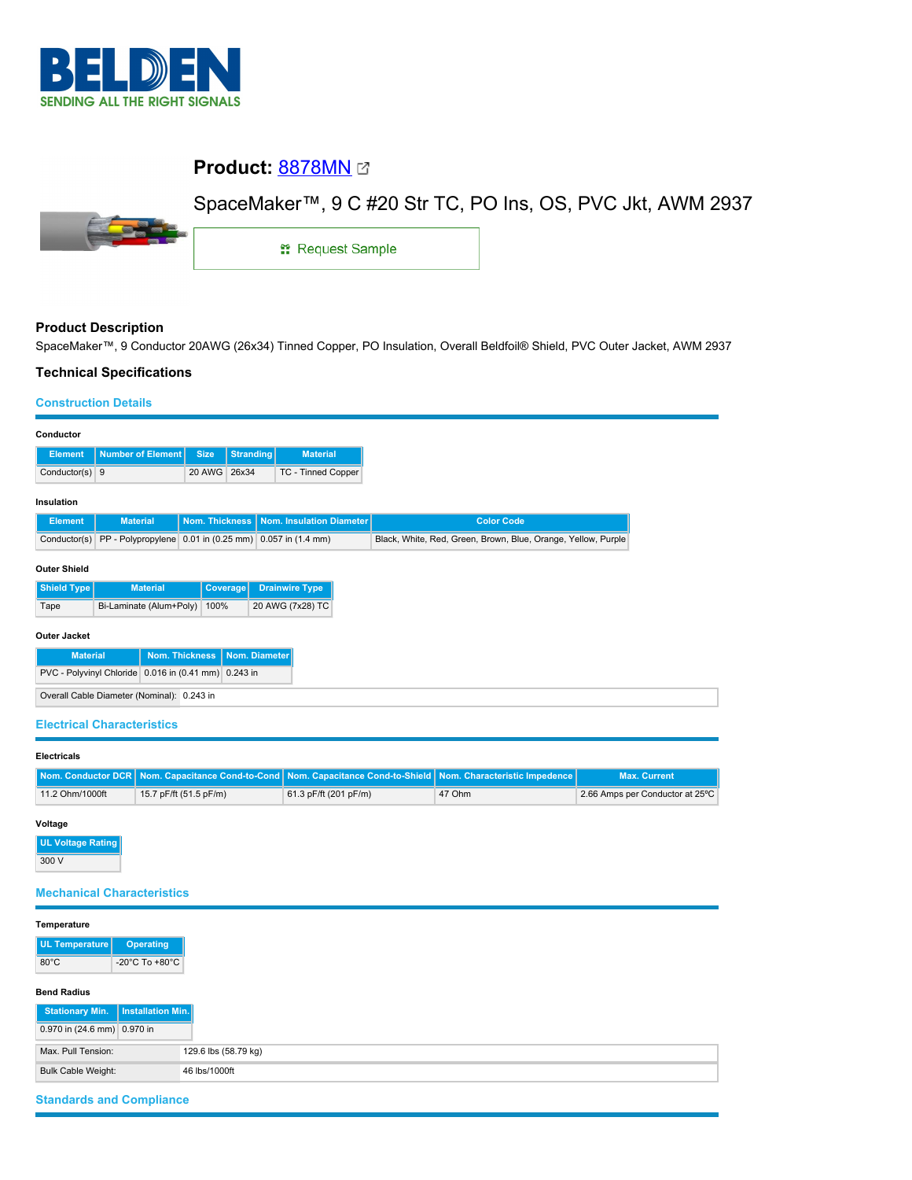

# **Product:** [8878MN](https://catalog.belden.com/index.cfm?event=pd&p=PF_8878MN&tab=downloads)

# SpaceMaker™, 9 C #20 Str TC, PO Ins, OS, PVC Jkt, AWM 2937



1: Request Sample

### **Product Description**

SpaceMaker™, 9 Conductor 20AWG (26x34) Tinned Copper, PO Insulation, Overall Beldfoil® Shield, PVC Outer Jacket, AWM 2937

### **Technical Specifications**

#### **Construction Details**

| Conductor                                            |                                                        |                |                  |                          |  |  |
|------------------------------------------------------|--------------------------------------------------------|----------------|------------------|--------------------------|--|--|
| <b>Element</b>                                       | Number of Element                                      | <b>Size</b>    | <b>Stranding</b> | <b>Material</b>          |  |  |
|                                                      |                                                        |                |                  |                          |  |  |
| Conductor(s) 9                                       |                                                        | 20 AWG         | 26x34            | TC - Tinned Copper       |  |  |
|                                                      |                                                        |                |                  |                          |  |  |
| Insulation                                           |                                                        |                |                  |                          |  |  |
| <b>Element</b>                                       | <b>Material</b>                                        | Nom. Thickness |                  | Nom. Insulation Diameter |  |  |
| Conductor(s)                                         | PP - Polypropylene 0.01 in (0.25 mm) 0.057 in (1.4 mm) |                |                  |                          |  |  |
|                                                      |                                                        |                |                  |                          |  |  |
| <b>Outer Shield</b>                                  |                                                        |                |                  |                          |  |  |
|                                                      |                                                        |                |                  |                          |  |  |
| Shield Type                                          | <b>Material</b>                                        |                | Coverage         | <b>Drainwire Type</b>    |  |  |
| Tape                                                 | Bi-Laminate (Alum+Poly)                                | 100%           |                  | 20 AWG (7x28) TC         |  |  |
|                                                      |                                                        |                |                  |                          |  |  |
| <b>Outer Jacket</b>                                  |                                                        |                |                  |                          |  |  |
| Nom. Thickness<br>Nom. Diameter<br><b>Material</b>   |                                                        |                |                  |                          |  |  |
|                                                      |                                                        |                |                  |                          |  |  |
| PVC - Polyvinyl Chloride 0.016 in (0.41 mm) 0.243 in |                                                        |                |                  |                          |  |  |
| Overall Cable Diameter (Nominal): 0.243 in           |                                                        |                |                  |                          |  |  |
|                                                      |                                                        |                |                  |                          |  |  |

#### **Electrical Characteristics**

| <b>Electricals</b> |                        |                                                                                                                |        |                                 |
|--------------------|------------------------|----------------------------------------------------------------------------------------------------------------|--------|---------------------------------|
|                    |                        | Nom. Conductor DCR Nom. Capacitance Cond-to-Cond Nom. Capacitance Cond-to-Shield Nom. Characteristic Impedence |        | <b>Max. Current</b>             |
| 11.2 Ohm/1000ft    | 15.7 pF/ft (51.5 pF/m) | 61.3 pF/ft (201 pF/m)                                                                                          | 47 Ohm | 2.66 Amps per Conductor at 25°C |

### **Voltage**

**UL Voltage Rating** 300 V

### **Mechanical Characteristics**

| Temperature                                 |                      |
|---------------------------------------------|----------------------|
| UL Temperature<br><b>Operating</b>          |                      |
| $80^{\circ}$ C<br>-20°C To +80°C            |                      |
|                                             |                      |
| <b>Bend Radius</b>                          |                      |
| Installation Min.<br><b>Stationary Min.</b> |                      |
| 0.970 in (24.6 mm) 0.970 in                 |                      |
| Max. Pull Tension:                          | 129.6 lbs (58.79 kg) |
| <b>Bulk Cable Weight:</b>                   | 46 lbs/1000ft        |

## **Standards and Compliance**